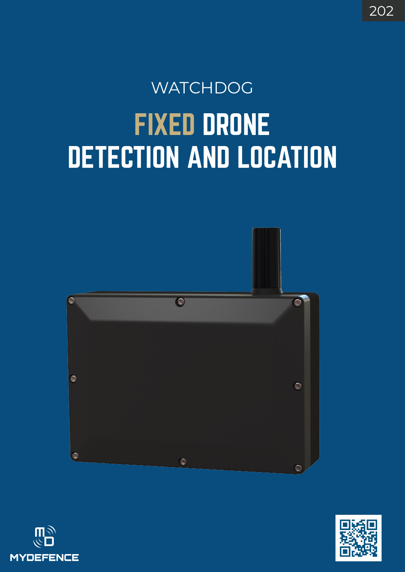# FIXED DRONE DETECTION AND LOCATION **WATCHDOG**